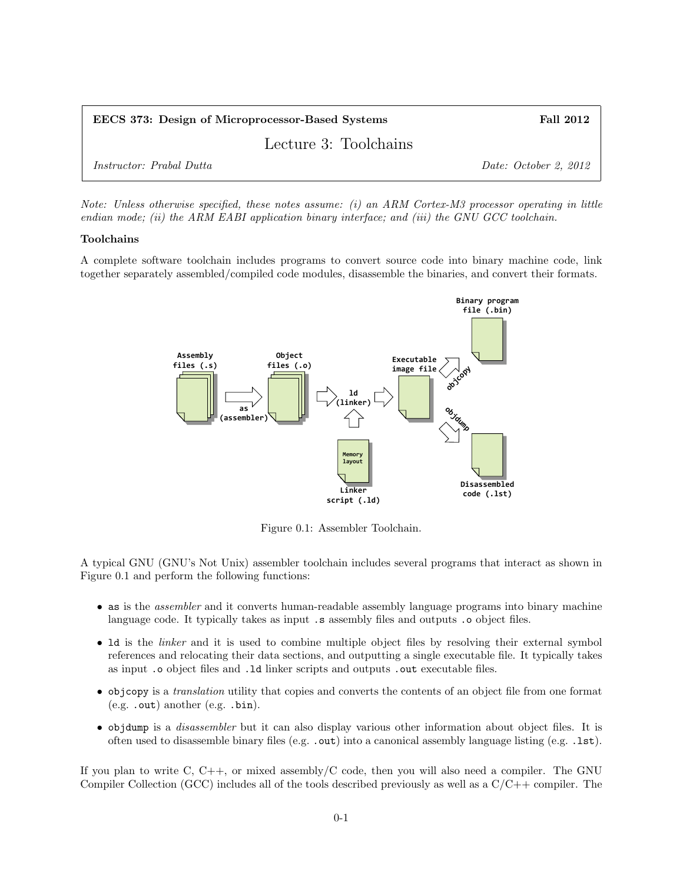| EECS 373: Design of Microprocessor-Based Systems | <b>Fall 2012</b>      |
|--------------------------------------------------|-----------------------|
| Lecture 3: Toolchains                            |                       |
| <i>Instructor: Prabal Dutta</i>                  | Date: October 2, 2012 |

Note: Unless otherwise specified, these notes assume: (i) an ARM Cortex-M3 processor operating in little endian mode; (ii) the ARM EABI application binary interface; and (iii) the GNU GCC toolchain.

## Toolchains

A complete software toolchain includes programs to convert source code into binary machine code, link together separately assembled/compiled code modules, disassemble the binaries, and convert their formats.



Figure 0.1: Assembler Toolchain.

A typical GNU (GNU's Not Unix) assembler toolchain includes several programs that interact as shown in Figure 0.1 and perform the following functions:

- as is the assembler and it converts human-readable assembly language programs into binary machine language code. It typically takes as input .s assembly files and outputs .o object files.
- Id is the *linker* and it is used to combine multiple object files by resolving their external symbol references and relocating their data sections, and outputting a single executable file. It typically takes as input .o object files and .ld linker scripts and outputs .out executable files.
- objcopy is a translation utility that copies and converts the contents of an object file from one format (e.g. .out) another (e.g. .bin).
- objdump is a disassembler but it can also display various other information about object files. It is often used to disassemble binary files (e.g. .out) into a canonical assembly language listing (e.g. .1st).

If you plan to write C,  $C_{++}$ , or mixed assembly/C code, then you will also need a compiler. The GNU Compiler Collection (GCC) includes all of the tools described previously as well as a  $C/C++$  compiler. The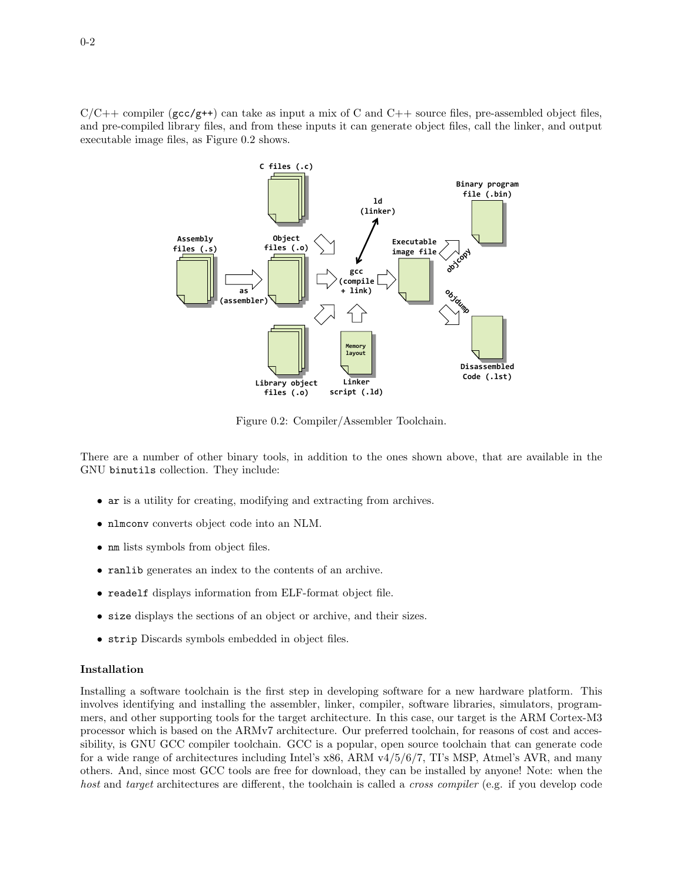$C/C++$  compiler (gcc/g++) can take as input a mix of C and  $C++$  source files, pre-assembled object files, and pre-compiled library files, and from these inputs it can generate object files, call the linker, and output executable image files, as Figure 0.2 shows.



Figure 0.2: Compiler/Assembler Toolchain.

There are a number of other binary tools, in addition to the ones shown above, that are available in the GNU binutils collection. They include:

- ar is a utility for creating, modifying and extracting from archives.
- nlmconv converts object code into an NLM.
- nm lists symbols from object files.
- ranlib generates an index to the contents of an archive.
- readelf displays information from ELF-format object file.
- size displays the sections of an object or archive, and their sizes.
- strip Discards symbols embedded in object files.

## Installation

Installing a software toolchain is the first step in developing software for a new hardware platform. This involves identifying and installing the assembler, linker, compiler, software libraries, simulators, programmers, and other supporting tools for the target architecture. In this case, our target is the ARM Cortex-M3 processor which is based on the ARMv7 architecture. Our preferred toolchain, for reasons of cost and accessibility, is GNU GCC compiler toolchain. GCC is a popular, open source toolchain that can generate code for a wide range of architectures including Intel's x86, ARM v4/5/6/7, TI's MSP, Atmel's AVR, and many others. And, since most GCC tools are free for download, they can be installed by anyone! Note: when the host and target architectures are different, the toolchain is called a *cross compiler* (e.g. if you develop code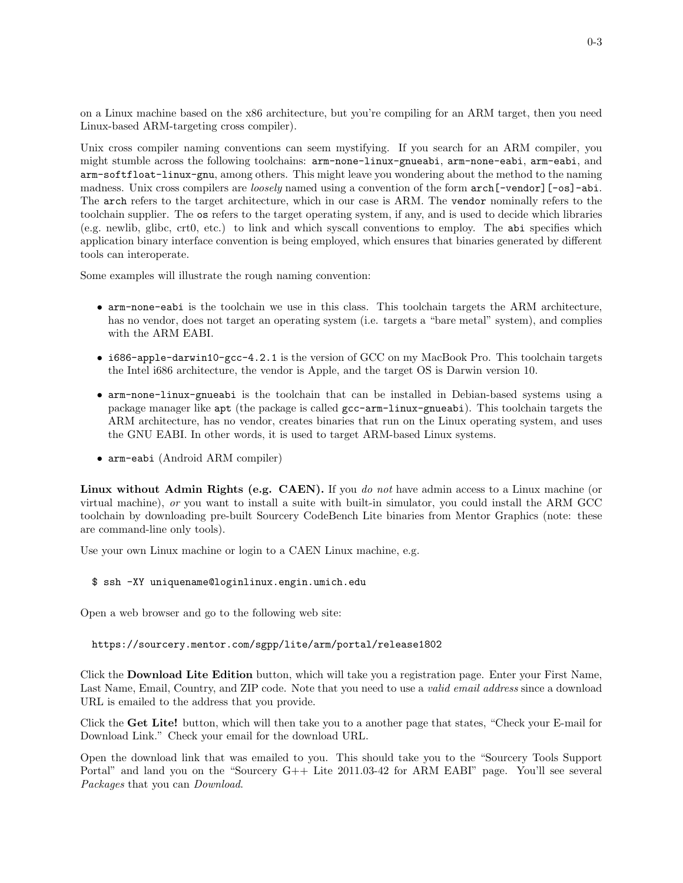on a Linux machine based on the x86 architecture, but you're compiling for an ARM target, then you need Linux-based ARM-targeting cross compiler).

Unix cross compiler naming conventions can seem mystifying. If you search for an ARM compiler, you might stumble across the following toolchains: arm-none-linux-gnueabi, arm-none-eabi, arm-eabi, and arm-softfloat-linux-gnu, among others. This might leave you wondering about the method to the naming madness. Unix cross compilers are *loosely* named using a convention of the form  $\arctan$ [-vendor][-os]-abi. The arch refers to the target architecture, which in our case is ARM. The vendor nominally refers to the toolchain supplier. The os refers to the target operating system, if any, and is used to decide which libraries (e.g. newlib, glibc, crt0, etc.) to link and which syscall conventions to employ. The abi specifies which application binary interface convention is being employed, which ensures that binaries generated by different tools can interoperate.

Some examples will illustrate the rough naming convention:

- arm-none-eabi is the toolchain we use in this class. This toolchain targets the ARM architecture, has no vendor, does not target an operating system (i.e. targets a "bare metal" system), and complies with the ARM EABI.
- i686-apple-darwin10-gcc-4.2.1 is the version of GCC on my MacBook Pro. This toolchain targets the Intel i686 architecture, the vendor is Apple, and the target OS is Darwin version 10.
- arm-none-linux-gnueabi is the toolchain that can be installed in Debian-based systems using a package manager like apt (the package is called gcc-arm-linux-gnueabi). This toolchain targets the ARM architecture, has no vendor, creates binaries that run on the Linux operating system, and uses the GNU EABI. In other words, it is used to target ARM-based Linux systems.
- arm-eabi (Android ARM compiler)

Linux without Admin Rights (e.g. CAEN). If you do not have admin access to a Linux machine (or virtual machine), or you want to install a suite with built-in simulator, you could install the ARM GCC toolchain by downloading pre-built Sourcery CodeBench Lite binaries from Mentor Graphics (note: these are command-line only tools).

Use your own Linux machine or login to a CAEN Linux machine, e.g.

## \$ ssh -XY uniquename@loginlinux.engin.umich.edu

Open a web browser and go to the following web site:

https://sourcery.mentor.com/sgpp/lite/arm/portal/release1802

Click the Download Lite Edition button, which will take you a registration page. Enter your First Name, Last Name, Email, Country, and ZIP code. Note that you need to use a valid email address since a download URL is emailed to the address that you provide.

Click the Get Lite! button, which will then take you to a another page that states, "Check your E-mail for Download Link." Check your email for the download URL.

Open the download link that was emailed to you. This should take you to the "Sourcery Tools Support Portal" and land you on the "Sourcery G++ Lite 2011.03-42 for ARM EABI" page. You'll see several Packages that you can Download.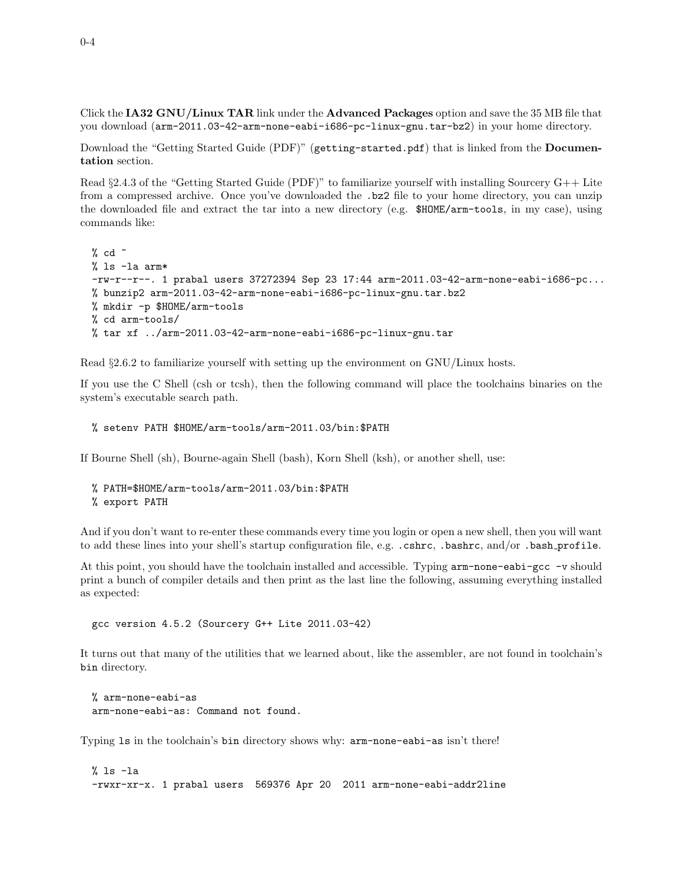Click the IA32 GNU/Linux TAR link under the Advanced Packages option and save the 35 MB file that you download (arm-2011.03-42-arm-none-eabi-i686-pc-linux-gnu.tar-bz2) in your home directory.

Download the "Getting Started Guide (PDF)" (getting-started.pdf) that is linked from the Documentation section.

Read  $\S 2.4.3$  of the "Getting Started Guide (PDF)" to familiarize yourself with installing Sourcery G++ Lite from a compressed archive. Once you've downloaded the .bz2 file to your home directory, you can unzip the downloaded file and extract the tar into a new directory (e.g. \$HOME/arm-tools, in my case), using commands like:

```
% cd ~
% ls -la arm*
-rw-r--r--. 1 prabal users 37272394 Sep 23 17:44 arm-2011.03-42-arm-none-eabi-i686-pc...
% bunzip2 arm-2011.03-42-arm-none-eabi-i686-pc-linux-gnu.tar.bz2
% mkdir -p $HOME/arm-tools
% cd arm-tools/
% tar xf ../arm-2011.03-42-arm-none-eabi-i686-pc-linux-gnu.tar
```
Read §2.6.2 to familiarize yourself with setting up the environment on GNU/Linux hosts.

If you use the C Shell (csh or tcsh), then the following command will place the toolchains binaries on the system's executable search path.

```
% setenv PATH $HOME/arm-tools/arm-2011.03/bin:$PATH
```
If Bourne Shell (sh), Bourne-again Shell (bash), Korn Shell (ksh), or another shell, use:

```
% PATH=$HOME/arm-tools/arm-2011.03/bin:$PATH
% export PATH
```
And if you don't want to re-enter these commands every time you login or open a new shell, then you will want to add these lines into your shell's startup configuration file, e.g. .cshrc, .bashrc, and/or .bash\_profile.

At this point, you should have the toolchain installed and accessible. Typing arm-none-eabi-gcc -v should print a bunch of compiler details and then print as the last line the following, assuming everything installed as expected:

gcc version 4.5.2 (Sourcery G++ Lite 2011.03-42)

It turns out that many of the utilities that we learned about, like the assembler, are not found in toolchain's bin directory.

% arm-none-eabi-as arm-none-eabi-as: Command not found.

Typing ls in the toolchain's bin directory shows why: arm-none-eabi-as isn't there!

% ls -la -rwxr-xr-x. 1 prabal users 569376 Apr 20 2011 arm-none-eabi-addr2line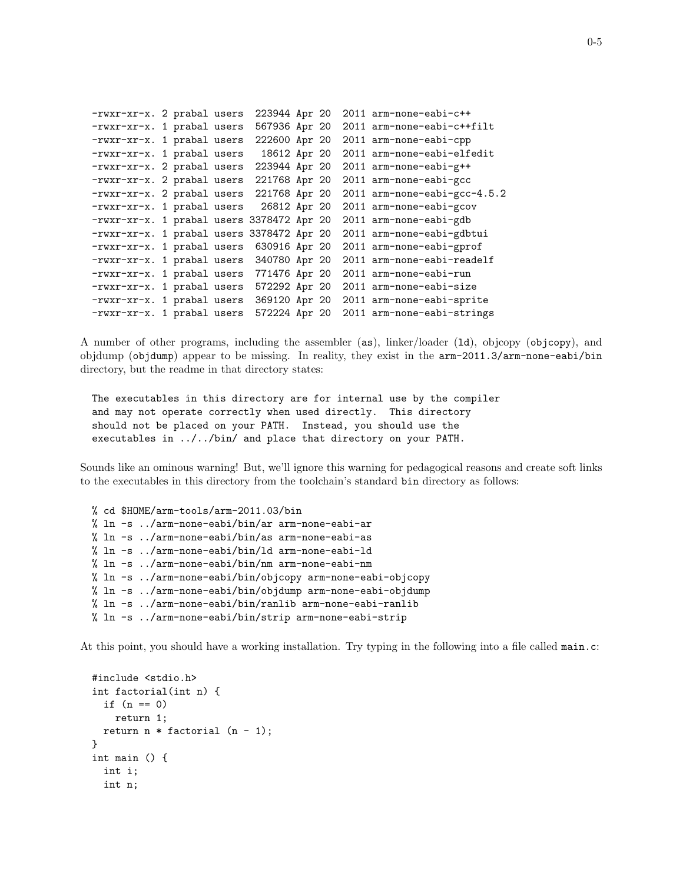```
-rwxr-xr-x. 2 prabal users 223944 Apr 20 2011 arm-none-eabi-c++
-rwxr-xr-x. 1 prabal users 567936 Apr 20 2011 arm-none-eabi-c++filt
-rwxr-xr-x. 1 prabal users 222600 Apr 20 2011 arm-none-eabi-cpp
-rwxr-xr-x. 1 prabal users 18612 Apr 20 2011 arm-none-eabi-elfedit
-rwxr-xr-x. 2 prabal users 223944 Apr 20 2011 arm-none-eabi-g++
-rwxr-xr-x. 2 prabal users 221768 Apr 20 2011 arm-none-eabi-gcc
-rwxr-xr-x. 2 prabal users 221768 Apr 20 2011 arm-none-eabi-gcc-4.5.2
-rwxr-xr-x. 1 prabal users 26812 Apr 20 2011 arm-none-eabi-gcov
-rwxr-xr-x. 1 prabal users 3378472 Apr 20 2011 arm-none-eabi-gdb
-rwxr-xr-x. 1 prabal users 3378472 Apr 20 2011 arm-none-eabi-gdbtui
-rwxr-xr-x. 1 prabal users 630916 Apr 20 2011 arm-none-eabi-gprof
-rwxr-xr-x. 1 prabal users 340780 Apr 20 2011 arm-none-eabi-readelf
-rwxr-xr-x. 1 prabal users 771476 Apr 20 2011 arm-none-eabi-run
-rwxr-xr-x. 1 prabal users 572292 Apr 20 2011 arm-none-eabi-size
-rwxr-xr-x. 1 prabal users 369120 Apr 20 2011 arm-none-eabi-sprite
-rwxr-xr-x. 1 prabal users 572224 Apr 20 2011 arm-none-eabi-strings
```
A number of other programs, including the assembler (as), linker/loader (ld), objcopy (objcopy), and objdump (objdump) appear to be missing. In reality, they exist in the arm-2011.3/arm-none-eabi/bin directory, but the readme in that directory states:

```
The executables in this directory are for internal use by the compiler
and may not operate correctly when used directly. This directory
should not be placed on your PATH. Instead, you should use the
executables in ../../bin/ and place that directory on your PATH.
```
Sounds like an ominous warning! But, we'll ignore this warning for pedagogical reasons and create soft links to the executables in this directory from the toolchain's standard bin directory as follows:

```
% cd $HOME/arm-tools/arm-2011.03/bin
% ln -s ../arm-none-eabi/bin/ar arm-none-eabi-ar
% ln -s ../arm-none-eabi/bin/as arm-none-eabi-as
% ln -s ../arm-none-eabi/bin/ld arm-none-eabi-ld
% ln -s ../arm-none-eabi/bin/nm arm-none-eabi-nm
% ln -s ../arm-none-eabi/bin/objcopy arm-none-eabi-objcopy
% ln -s ../arm-none-eabi/bin/objdump arm-none-eabi-objdump
% ln -s ../arm-none-eabi/bin/ranlib arm-none-eabi-ranlib
% ln -s ../arm-none-eabi/bin/strip arm-none-eabi-strip
```
At this point, you should have a working installation. Try typing in the following into a file called main.c:

```
#include <stdio.h>
int factorial(int n) {
 if (n == 0)return 1;
 return n * factorial (n - 1);
}
int main () {
 int i;
  int n;
```